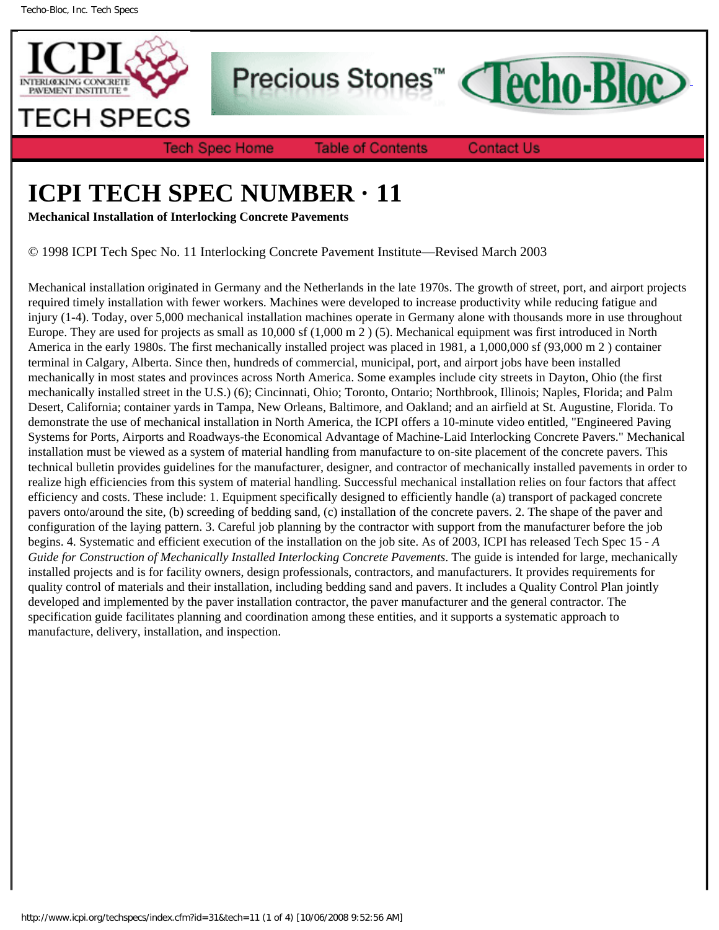

Precious Stones<sup>™</sup>

**Tech Spec Home** 

**Table of Contents** 

**Contact Us** 

**Techo-Bloc** 

## **ICPI TECH SPEC NUMBER · 11**

**Mechanical Installation of Interlocking Concrete Pavements**

© 1998 ICPI Tech Spec No. 11 Interlocking Concrete Pavement Institute—Revised March 2003

Mechanical installation originated in Germany and the Netherlands in the late 1970s. The growth of street, port, and airport projects required timely installation with fewer workers. Machines were developed to increase productivity while reducing fatigue and injury (1-4). Today, over 5,000 mechanical installation machines operate in Germany alone with thousands more in use throughout Europe. They are used for projects as small as 10,000 sf (1,000 m 2 ) (5). Mechanical equipment was first introduced in North America in the early 1980s. The first mechanically installed project was placed in 1981, a 1,000,000 sf (93,000 m 2 ) container terminal in Calgary, Alberta. Since then, hundreds of commercial, municipal, port, and airport jobs have been installed mechanically in most states and provinces across North America. Some examples include city streets in Dayton, Ohio (the first mechanically installed street in the U.S.) (6); Cincinnati, Ohio; Toronto, Ontario; Northbrook, Illinois; Naples, Florida; and Palm Desert, California; container yards in Tampa, New Orleans, Baltimore, and Oakland; and an airfield at St. Augustine, Florida. To demonstrate the use of mechanical installation in North America, the ICPI offers a 10-minute video entitled, "Engineered Paving Systems for Ports, Airports and Roadways-the Economical Advantage of Machine-Laid Interlocking Concrete Pavers." Mechanical installation must be viewed as a system of material handling from manufacture to on-site placement of the concrete pavers. This technical bulletin provides guidelines for the manufacturer, designer, and contractor of mechanically installed pavements in order to realize high efficiencies from this system of material handling. Successful mechanical installation relies on four factors that affect efficiency and costs. These include: 1. Equipment specifically designed to efficiently handle (a) transport of packaged concrete pavers onto/around the site, (b) screeding of bedding sand, (c) installation of the concrete pavers. 2. The shape of the paver and configuration of the laying pattern. 3. Careful job planning by the contractor with support from the manufacturer before the job begins. 4. Systematic and efficient execution of the installation on the job site. As of 2003, ICPI has released Tech Spec 15 - *A Guide for Construction of Mechanically Installed Interlocking Concrete Pavements*. The guide is intended for large, mechanically installed projects and is for facility owners, design professionals, contractors, and manufacturers. It provides requirements for quality control of materials and their installation, including bedding sand and pavers. It includes a Quality Control Plan jointly developed and implemented by the paver installation contractor, the paver manufacturer and the general contractor. The specification guide facilitates planning and coordination among these entities, and it supports a systematic approach to manufacture, delivery, installation, and inspection.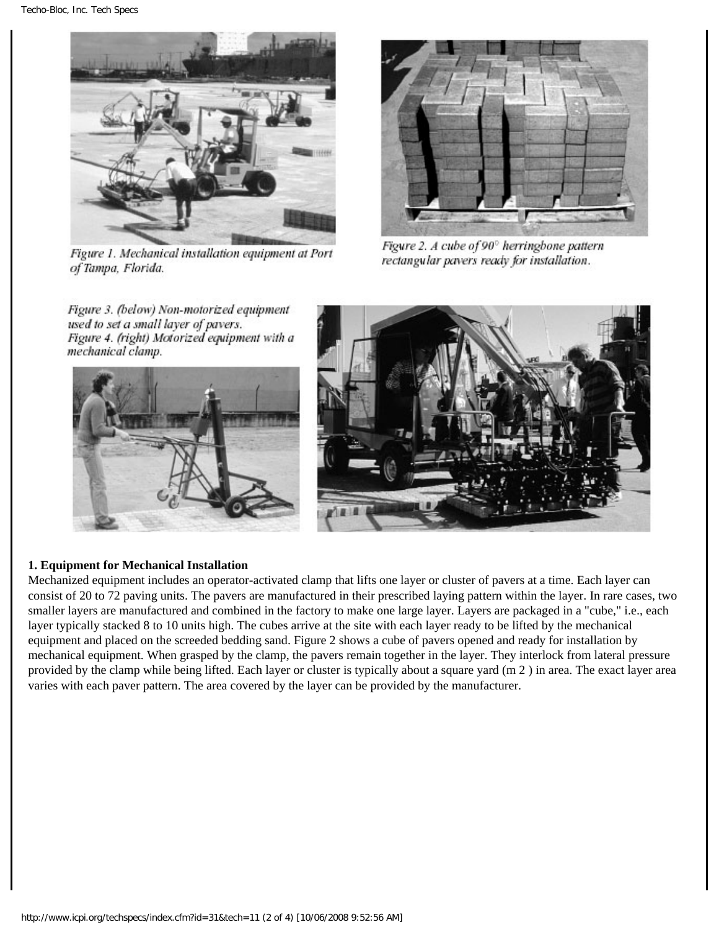

Figure 1. Mechanical installation equipment at Port of Tampa, Florida.

Figure 3. (below) Non-motorized equipment



Figure 2. A cube of 90° herringbone pattern rectangular pavers ready for installation.





## **1. Equipment for Mechanical Installation**

Mechanized equipment includes an operator-activated clamp that lifts one layer or cluster of pavers at a time. Each layer can consist of 20 to 72 paving units. The pavers are manufactured in their prescribed laying pattern within the layer. In rare cases, two smaller layers are manufactured and combined in the factory to make one large layer. Layers are packaged in a "cube," i.e., each layer typically stacked 8 to 10 units high. The cubes arrive at the site with each layer ready to be lifted by the mechanical equipment and placed on the screeded bedding sand. Figure 2 shows a cube of pavers opened and ready for installation by mechanical equipment. When grasped by the clamp, the pavers remain together in the layer. They interlock from lateral pressure provided by the clamp while being lifted. Each layer or cluster is typically about a square yard (m 2 ) in area. The exact layer area varies with each paver pattern. The area covered by the layer can be provided by the manufacturer.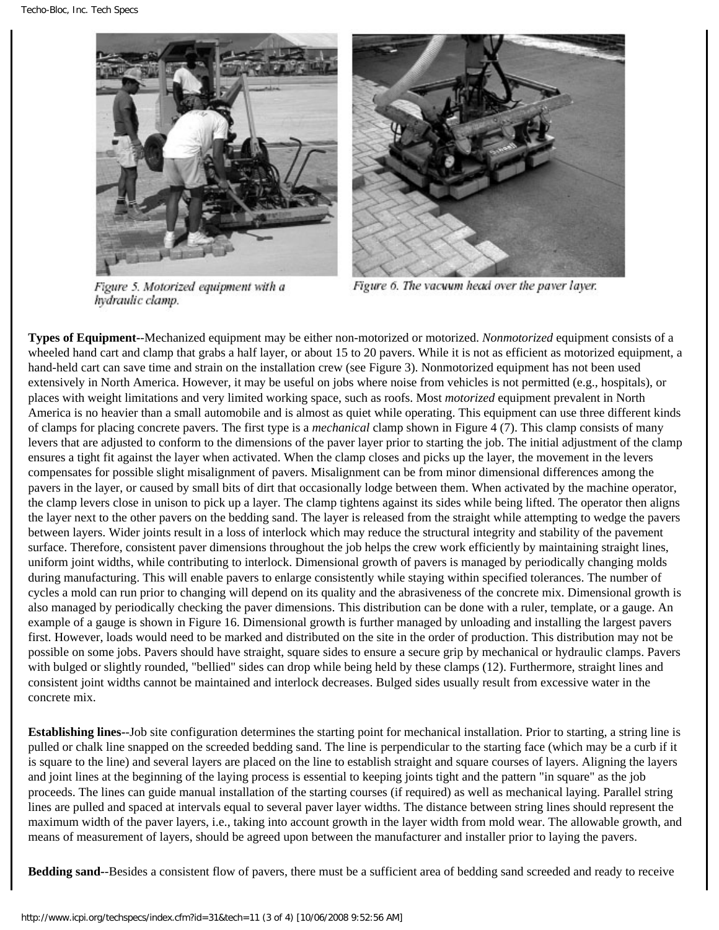



Figure 5. Motorized equipment with a hydraulic clamp.

Figure 6. The vacuum head over the paver layer.

**Types of Equipment-**-Mechanized equipment may be either non-motorized or motorized. *Nonmotorized* equipment consists of a wheeled hand cart and clamp that grabs a half layer, or about 15 to 20 pavers. While it is not as efficient as motorized equipment, a hand-held cart can save time and strain on the installation crew (see Figure 3). Nonmotorized equipment has not been used extensively in North America. However, it may be useful on jobs where noise from vehicles is not permitted (e.g., hospitals), or places with weight limitations and very limited working space, such as roofs. Most *motorized* equipment prevalent in North America is no heavier than a small automobile and is almost as quiet while operating. This equipment can use three different kinds of clamps for placing concrete pavers. The first type is a *mechanical* clamp shown in Figure 4 (7). This clamp consists of many levers that are adjusted to conform to the dimensions of the paver layer prior to starting the job. The initial adjustment of the clamp ensures a tight fit against the layer when activated. When the clamp closes and picks up the layer, the movement in the levers compensates for possible slight misalignment of pavers. Misalignment can be from minor dimensional differences among the pavers in the layer, or caused by small bits of dirt that occasionally lodge between them. When activated by the machine operator, the clamp levers close in unison to pick up a layer. The clamp tightens against its sides while being lifted. The operator then aligns the layer next to the other pavers on the bedding sand. The layer is released from the straight while attempting to wedge the pavers between layers. Wider joints result in a loss of interlock which may reduce the structural integrity and stability of the pavement surface. Therefore, consistent paver dimensions throughout the job helps the crew work efficiently by maintaining straight lines, uniform joint widths, while contributing to interlock. Dimensional growth of pavers is managed by periodically changing molds during manufacturing. This will enable pavers to enlarge consistently while staying within specified tolerances. The number of cycles a mold can run prior to changing will depend on its quality and the abrasiveness of the concrete mix. Dimensional growth is also managed by periodically checking the paver dimensions. This distribution can be done with a ruler, template, or a gauge. An example of a gauge is shown in Figure 16. Dimensional growth is further managed by unloading and installing the largest pavers first. However, loads would need to be marked and distributed on the site in the order of production. This distribution may not be possible on some jobs. Pavers should have straight, square sides to ensure a secure grip by mechanical or hydraulic clamps. Pavers with bulged or slightly rounded, "bellied" sides can drop while being held by these clamps (12). Furthermore, straight lines and consistent joint widths cannot be maintained and interlock decreases. Bulged sides usually result from excessive water in the concrete mix.

**Establishing lines-**-Job site configuration determines the starting point for mechanical installation. Prior to starting, a string line is pulled or chalk line snapped on the screeded bedding sand. The line is perpendicular to the starting face (which may be a curb if it is square to the line) and several layers are placed on the line to establish straight and square courses of layers. Aligning the layers and joint lines at the beginning of the laying process is essential to keeping joints tight and the pattern "in square" as the job proceeds. The lines can guide manual installation of the starting courses (if required) as well as mechanical laying. Parallel string lines are pulled and spaced at intervals equal to several paver layer widths. The distance between string lines should represent the maximum width of the paver layers, i.e., taking into account growth in the layer width from mold wear. The allowable growth, and means of measurement of layers, should be agreed upon between the manufacturer and installer prior to laying the pavers.

**Bedding sand-**-Besides a consistent flow of pavers, there must be a sufficient area of bedding sand screeded and ready to receive